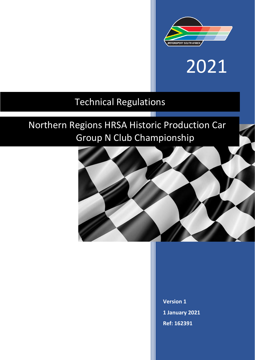

# 2021

### Technical Regulations

## Northern Regions HRSA Historic Production Car Group N Club Championship

T



**Version 1 1 January 2021 Ref: 162391**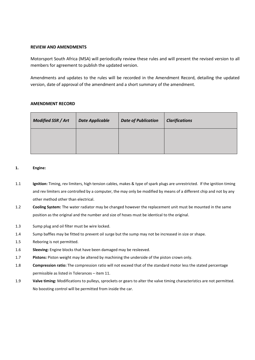#### **REVIEW AND AMENDMENTS**

Motorsport South Africa (MSA) will periodically review these rules and will present the revised version to all members for agreement to publish the updated version.

Amendments and updates to the rules will be recorded in the Amendment Record, detailing the updated version, date of approval of the amendment and a short summary of the amendment.

#### **AMENDMENT RECORD**

| <b>Modified SSR / Art</b> | <b>Date Applicable</b> | <b>Date of Publication</b> | <b>Clarifications</b> |
|---------------------------|------------------------|----------------------------|-----------------------|
|                           |                        |                            |                       |

#### **1. Engine:**

- 1.1 **Ignition:** Timing, rev limiters, high tension cables, makes & type of spark plugs are unrestricted. If the ignition timing and rev limiters are controlled by a computer, the may only be modified by means of a different chip and not by any other method other than electrical.
- 1.2 **Cooling System:** The water radiator may be changed however the replacement unit must be mounted in the same position as the original and the number and size of hoses must be identical to the original.
- 1.3 Sump plug and oil filter must be wire locked.
- 1.4 Sump baffles may be fitted to prevent oil surge but the sump may not be increased in size or shape.
- 1.5 Reboring is not permitted.
- 1.6 **Sleeving:** Engine blocks that have been damaged may be resleeved.
- 1.7 **Pistons:** Piston weight may be altered by machining the underside of the piston crown only.
- 1.8 **Compression ratio:** The compression ratio will not exceed that of the standard motor less the stated percentage permissible as listed in Tolerances – item 11.
- 1.9 **Valve timing:** Modifications to pulleys, sprockets or gears to alter the valve timing characteristics are not permitted. No boosting control will be permitted from inside the car.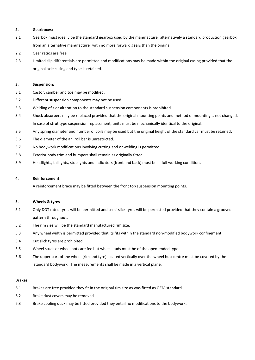#### **2. Gearboxes:**

- 2.1 Gearbox must ideally be the standard gearbox used by the manufacturer alternatively a standard production gearbox from an alternative manufacturer with no more forward gears than the original.
- 2.2 Gear ratios are free.
- 2.3 Limited slip differentials are permitted and modifications may be made within the original casing provided that the original axle casing and type is retained.

#### **3. Suspension:**

- 3.1 Castor, camber and toe may be modified.
- 3.2 Different suspension components may not be used.
- 3.3 Welding of / or alteration to the standard suspension components is prohibited.
- 3.4 Shock absorbers may be replaced provided that the original mounting points and method of mounting is not changed. In case of strut type suspension replacement, units must be mechanically identical to the original.
- 3.5 Any spring diameter and number of coils may be used but the original height of the standard car must be retained.
- 3.6 The diameter of the ani roll bar is unrestricted.
- 3.7 No bodywork modifications involving cutting and or welding is permitted.
- 3.8 Exterior body trim and bumpers shall remain as originally fitted.
- 3.9 Headlights, taillights, stoplights and indicators (front and back) must be in full working condition.

#### **4. Reinforcement:**

A reinforcement brace may be fitted between the front top suspension mounting points.

#### **5. Wheels & tyres**

- 5.1 Only DOT rated tyres will be permitted and semi-slick tyres will be permitted provided that they contain a grooved pattern throughout.
- 5.2 The rim size will be the standard manufactured rim size.
- 5.3 Any wheel width is permitted provided that its fits within the standard non-modified bodywork confinement.
- 5.4 Cut slick tyres are prohibited.
- 5.5 Wheel studs or wheel bots are fee but wheel studs must be of the open-ended type.
- 5.6 The upper part of the wheel (rim and tyre) located vertically over the wheel hub centre must be covered by the standard bodywork. The measurements shall be made in a vertical plane.

#### **Brakes**

- 6.1 Brakes are free provided they fit in the original rim size as was fitted as OEM standard.
- 6.2 Brake dust covers may be removed.
- 6.3 Brake cooling duck may be fitted provided they entail no modifications to the bodywork.